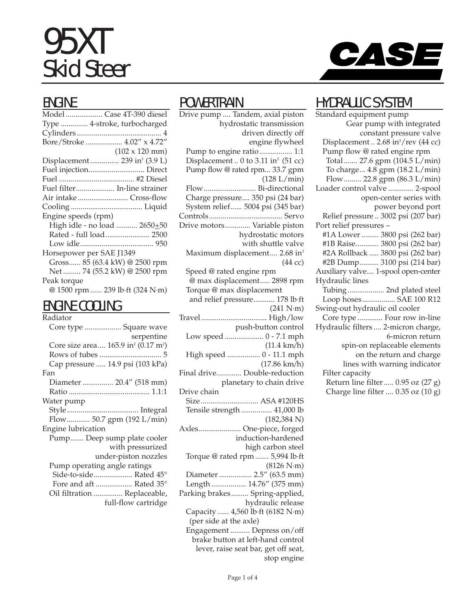# 95XT Skid Steer



| ⋯                                         |
|-------------------------------------------|
| Model  Case 4T-390 diesel                 |
| Type  4-stroke, turbocharged              |
|                                           |
| Bore/Stroke  4.02" x 4.72"                |
| $(102 \times 120 \text{ mm})$             |
| Displacement  239 in <sup>3</sup> (3.9 L) |
| Fuel injection Direct                     |
|                                           |
| Fuel filter In-line strainer              |
| Air intake Cross-flow                     |
|                                           |
| Engine speeds (rpm)                       |
| High idle - no load  2650+50              |
| Rated - full load 2500                    |
|                                           |
| Horsepower per SAE J1349                  |
| Gross 85 (63.4 kW) @ 2500 rpm             |
| Net  74 (55.2 kW) @ 2500 rpm              |
| Peak torque                               |
| @ 1500 rpm  239 lb ft (324 N·m)           |
|                                           |

### ENGINE COOLING

| Radiator                                                    |
|-------------------------------------------------------------|
| Core type  Square wave                                      |
| serpentine                                                  |
| Core size area 165.9 in <sup>2</sup> (0.17 m <sup>2</sup> ) |
|                                                             |
| Cap pressure  14.9 psi (103 kPa)                            |
| Fan                                                         |
| Diameter  20.4" (518 mm)                                    |
|                                                             |
| Water pump                                                  |
|                                                             |
| Flow 50.7 gpm (192 L/min)                                   |
| Engine lubrication                                          |
| Pump Deep sump plate cooler                                 |
| with pressurized                                            |
| under-piston nozzles                                        |
| Pump operating angle ratings                                |
| Side-to-side Rated 45°                                      |
| Fore and aft  Rated 35°                                     |
| Oil filtration  Replaceable,                                |
| full-flow cartridge                                         |

#### **POWERTRAIN**

Drive pump .... Tandem, axial piston hydrostatic transmission driven directly off engine flywheel Pump to engine ratio................. 1:1 Displacement .. 0 to 3.11 in $3$  (51 cc) Pump flow @ rated rpm... 33.7 gpm (128 L/min) Flow........................... Bi-directional Charge pressure.... 350 psi (24 bar) System relief...... 5004 psi (345 bar) Controls...................................... Servo Drive motors............. Variable piston hydrostatic motors with shuttle valve Maximum displacement.... 2.68 in<sup>3</sup> (44 cc) Speed @ rated engine rpm @ max displacement..... 2898 rpm Torque @ max displacement and relief pressure........... 178 lb·ft (241 N·m) Travel .................................. High/low push-button control Low speed .................... 0 - 7.1 mph (11.4 km/h) High speed ................. 0 - 11.1 mph (17.86 km/h) Final drive............. Double-reduction planetary to chain drive Drive chain Size.............................. ASA #120HS Tensile strength ................ 41,000 lb (182,384 N) Axles...................... One-piece, forged induction-hardened high carbon steel Torque @ rated rpm ....... 5,994 lb·ft (8126 N·m) Diameter ................. 2.5" (63.5 mm) Length .................. 14.76" (375 mm) Parking brakes......... Spring-applied, hydraulic release Capacity ...... 4,560 lb·ft (6182 N·m) (per side at the axle) Engagement .......... Depress on/off brake button at left-hand control lever, raise seat bar, get off seat,



## HYDRAULIC SYSTEM

Standard equipment pump Gear pump with integrated constant pressure valve Displacement .. 2.68 in<sup>3</sup>/rev (44 cc) Pump flow @ rated engine rpm Total ....... 27.6 gpm (104.5 L/min) To charge... 4.8 gpm (18.2 L/min) Flow......... 22.8 gpm (86.3 L/min) Loader control valve ............. 2-spool open-center series with power beyond port Relief pressure .. 3002 psi (207 bar) Port relief pressures – #1A Lower ......... 3800 psi (262 bar) #1B Raise............ 3800 psi (262 bar) #2A Rollback ..... 3800 psi (262 bar) #2B Dump.......... 3100 psi (214 bar) Auxiliary valve.... 1-spool open-center Hydraulic lines Tubing................... 2nd plated steel Loop hoses................. SAE 100 R12 Swing-out hydraulic oil cooler Core type ............. Four row in-line Hydraulic filters .... 2-micron charge, 6-micron return spin-on replaceable elements on the return and charge lines with warning indicator Filter capacity Return line filter..... 0.95 oz (27 g) Charge line filter .... 0.35 oz (10 g)

stop engine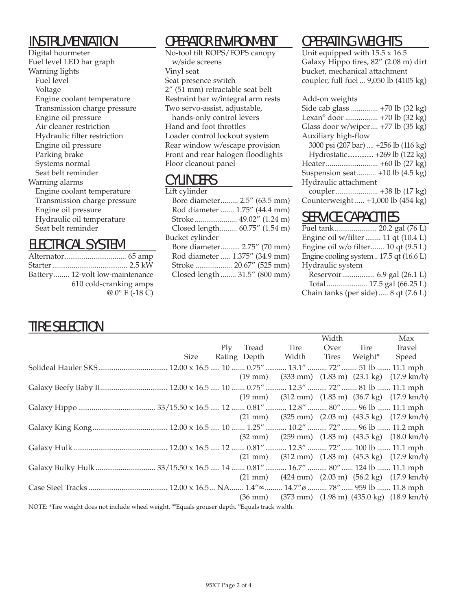## INSTRUMENTATION

Digital hourmeter Fuel level LED bar graph Warning lights Fuel level Voltage Engine coolant temperature Transmission charge pressure Engine oil pressure Air cleaner restriction Hydraulic filter restriction Engine oil pressure Parking brake Systems normal Seat belt reminder Warning alarms Engine coolant temperature Transmission charge pressure Engine oil pressure Hydraulic oil temperature Seat belt reminder

## ELECTRICAL SYSTEM

| Battery 12-volt low-maintenance |
|---------------------------------|
| 610 cold-cranking amps          |
| $@0°$ F (-18 C)                 |

# OPERATOR ENVIRONMENT

No-tool tilt ROPS/FOPS canopy w/side screens Vinyl seat Seat presence switch 2" (51 mm) retractable seat belt Restraint bar w/integral arm rests Two servo-assist, adjustable, hands-only control levers Hand and foot throttles Loader control lockout system Rear window w/escape provision Front and rear halogen floodlights Floor cleanout panel

## **CYLINDERS**

| Lift cylinder                  |
|--------------------------------|
| Bore diameter 2.5" (63.5 mm)   |
| Rod diameter  1.75" (44.4 mm)  |
| Stroke 49.02" (1.24 m)         |
| Closed length 60.75" (1.54 m)  |
| Bucket cylinder                |
| Bore diameter 2.75" (70 mm)    |
| Rod diameter  1.375" (34.9 mm) |
| Stroke  20.67" (525 mm)        |
| Closed length  31.5" (800 mm)  |
|                                |

# OPERATING WEIGHTS

Unit equipped with 15.5 x 16.5 Galaxy Hippo tires, 82" (2.08 m) dirt bucket, mechanical attachment coupler, full fuel ... 9,050 lb (4105 kg)

#### Add-on weights

| Side cab glass  +70 lb (32 kg)              |
|---------------------------------------------|
| Lexan <sup>®</sup> door  +70 lb (32 kg)     |
| Glass door w/wiper +77 lb (35 kg)           |
| Auxiliary high-flow                         |
| 3000 psi (207 bar)  +256 lb (116 kg)        |
| Hydrostatic +269 lb (122 kg)                |
|                                             |
| Suspension seat $+10$ lb $(4.5 \text{ kg})$ |
| Hydraulic attachment                        |
|                                             |
| Counterweight  +1,000 lb (454 kg)           |

## SERVICE CAPACITIES

| Fuel tank 20.2 gal (76 L)              |  |
|----------------------------------------|--|
| Engine oil w/filter  11 qt (10.4 L)    |  |
| Engine oil w/o filter 10 qt (9.5 L)    |  |
| Engine cooling system 17.5 qt (16.6 L) |  |
| Hydraulic system                       |  |
| Reservoir 6.9 gal (26.1 L)             |  |
| Total  17.5 gal (66.25 L)              |  |
| Chain tanks (per side) 8 qt (7.6 L)    |  |

# TIRE SELECTION

|                                                                                                                              |      |     |       |                          | Width |         | Max                                                                                                |
|------------------------------------------------------------------------------------------------------------------------------|------|-----|-------|--------------------------|-------|---------|----------------------------------------------------------------------------------------------------|
|                                                                                                                              |      | Ply | Tread | Tire                     | Over  | Tire    | Travel                                                                                             |
|                                                                                                                              | Size |     |       | Rating Depth Width Tires |       | Weight* | Speed                                                                                              |
|                                                                                                                              |      |     |       |                          |       |         |                                                                                                    |
|                                                                                                                              |      |     |       |                          |       |         | $(19 \text{ mm})$ $(333 \text{ mm})$ $(1.83 \text{ m})$ $(23.1 \text{ kg})$ $(17.9 \text{ km/h})$  |
|                                                                                                                              |      |     |       |                          |       |         |                                                                                                    |
|                                                                                                                              |      |     |       |                          |       |         | $(19 \text{ mm})$ $(312 \text{ mm})$ $(1.83 \text{ m})$ $(36.7 \text{ kg})$ $(17.9 \text{ km/h})$  |
|                                                                                                                              |      |     |       |                          |       |         |                                                                                                    |
|                                                                                                                              |      |     |       |                          |       |         | $(21 \text{ mm})$ $(325 \text{ mm})$ $(2.03 \text{ m})$ $(43.5 \text{ kg})$ $(17.9 \text{ km/h})$  |
|                                                                                                                              |      |     |       |                          |       |         |                                                                                                    |
|                                                                                                                              |      |     |       |                          |       |         | $(32 \text{ mm})$ $(259 \text{ mm})$ $(1.83 \text{ m})$ $(43.5 \text{ kg})$ $(18.0 \text{ km/h})$  |
|                                                                                                                              |      |     |       |                          |       |         |                                                                                                    |
|                                                                                                                              |      |     |       |                          |       |         | $(21 \text{ mm})$ $(312 \text{ mm})$ $(1.83 \text{ m})$ $(45.3 \text{ kg})$ $(17.9 \text{ km/h})$  |
|                                                                                                                              |      |     |       |                          |       |         |                                                                                                    |
|                                                                                                                              |      |     |       |                          |       |         | $(21 \text{ mm})$ $(424 \text{ mm})$ $(2.03 \text{ m})$ $(56.2 \text{ kg})$ $(17.9 \text{ km/h})$  |
|                                                                                                                              |      |     |       |                          |       |         |                                                                                                    |
|                                                                                                                              |      |     |       |                          |       |         | $(36 \text{ mm})$ $(373 \text{ mm})$ $(1.98 \text{ m})$ $(435.0 \text{ kg})$ $(18.9 \text{ km/h})$ |
| NOTE: *Tire weight does not include wheel weight. <sup>∞</sup> Equals grouser depth. <sup><i>©</i></sup> Equals track width. |      |     |       |                          |       |         |                                                                                                    |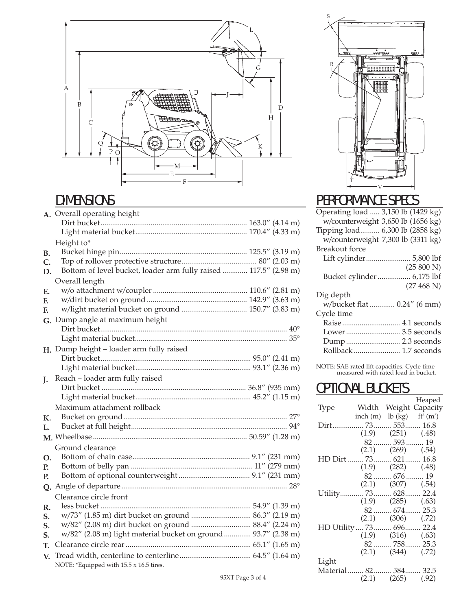

## **DIMENSIONS**

|    | A. Overall operating height                                      |  |
|----|------------------------------------------------------------------|--|
|    |                                                                  |  |
|    |                                                                  |  |
|    | Height to*                                                       |  |
| В. |                                                                  |  |
| C. |                                                                  |  |
| D. | Bottom of level bucket, loader arm fully raised  117.5" (2.98 m) |  |
|    | Overall length                                                   |  |
| Е. |                                                                  |  |
| F. |                                                                  |  |
| F. | w/light material bucket on ground  150.7" (3.83 m)               |  |
| G. | Dump angle at maximum height                                     |  |
|    |                                                                  |  |
|    |                                                                  |  |
|    | $H.$ Dump height – loader arm fully raised                       |  |
|    |                                                                  |  |
|    |                                                                  |  |
| J. | Reach - loader arm fully raised                                  |  |
|    |                                                                  |  |
|    |                                                                  |  |
|    | Maximum attachment rollback                                      |  |
| К. |                                                                  |  |
| L. |                                                                  |  |
|    |                                                                  |  |
|    | Ground clearance                                                 |  |
| Ο. |                                                                  |  |
| Р. |                                                                  |  |
| Р. |                                                                  |  |
|    |                                                                  |  |
|    | Clearance circle front                                           |  |
| R. |                                                                  |  |
| S. | w/73" (1.85 m) dirt bucket on ground  86.3" (2.19 m)             |  |
| S. | w/82" (2.08 m) dirt bucket on ground  88.4" (2.24 m)             |  |
| S. | w/82" (2.08 m) light material bucket on ground  93.7" (2.38 m)   |  |
| T. |                                                                  |  |
| V. |                                                                  |  |
|    | NOTE: *Equipped with 15.5 x 16.5 tires.                          |  |



## PERFORMANCE SPECS

Operating load ..... 3,150 lb (1429 kg) w/counterweight 3,650 lb (1656 kg) Tipping load.......... 6,300 lb (2858 kg)  $W$ /counterweight 7,300 lb (3311 kg) Breakout force Lift cylinder....................... 5,800 lbf (25 800 N) Bucket cylinder ................. 6,175 lbf (27 468 N) Dig depth w/bucket flat ............. 0.24" (6 mm) Cycle time Raise .............................. 4.1 seconds Lower ............................ 3.5 seconds Dump ............................ 2.3 seconds Rollback ........................ 1.7 seconds

NOTE: SAE rated lift capacities. Cycle time measured with rated load in bucket.

## OPTIONAL BUCKETS

|                           |                                           |                          | Heaped                |
|---------------------------|-------------------------------------------|--------------------------|-----------------------|
| <b>Type</b>               |                                           |                          | Width Weight Capacity |
|                           | inch (m) lb (kg) $ft^3$ (m <sup>3</sup> ) |                          |                       |
| Dirt 73 553 16.8          |                                           |                          |                       |
|                           |                                           | $(1.9)$ $(251)$ $(.48)$  |                       |
|                           |                                           | 82  593  19              |                       |
|                           |                                           | $(2.1)$ $(269)$ $(.54)$  |                       |
| HD Dirt  73 621 16.8      |                                           |                          |                       |
|                           | $(1.9)$ $(282)$ $(.48)$                   |                          |                       |
|                           | 82  676  19                               |                          |                       |
|                           |                                           | $(2.1)$ $(307)$ $(.54)$  |                       |
| Utility 73 628 22.4       |                                           |                          |                       |
|                           | $(1.9)$ $(285)$ $(0.63)$                  |                          |                       |
|                           |                                           | 82  674  25.3            |                       |
|                           |                                           | $(2.1)$ $(306)$ $(.72)$  |                       |
| HD Utility  73  696  22.4 |                                           |                          |                       |
|                           |                                           | $(1.9)$ $(316)$ $(0.63)$ |                       |
|                           |                                           | 82  758  25.3            |                       |
|                           |                                           | $(2.1)$ $(344)$ $(0.72)$ |                       |
| Light                     |                                           |                          |                       |
| Material 82 584 32.5      |                                           |                          |                       |
|                           |                                           | $(2.1)$ $(265)$ $(.92)$  |                       |